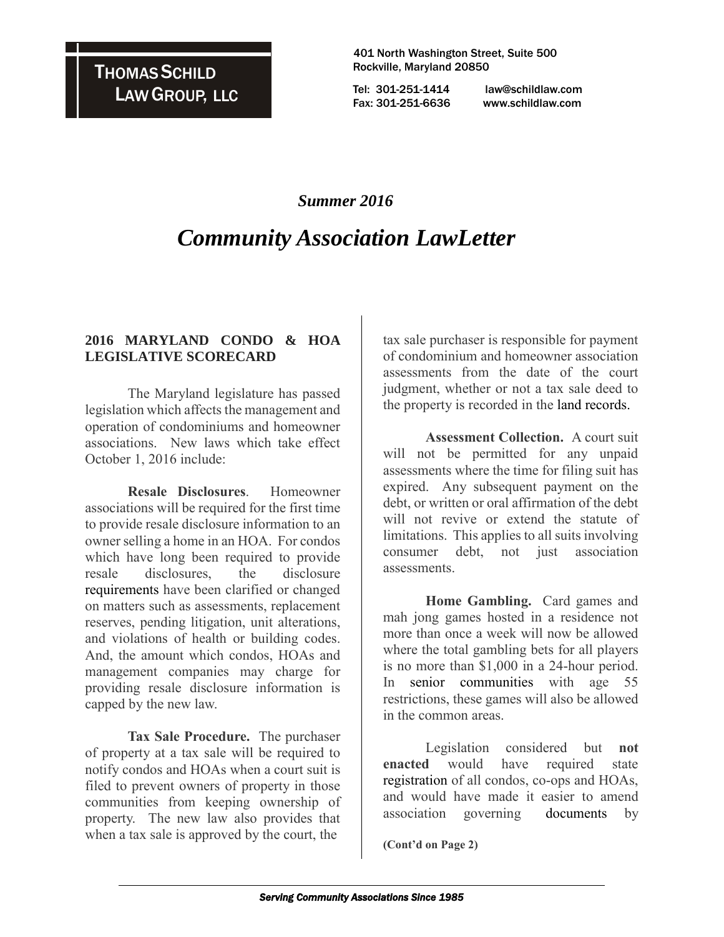401 North Washington Street, Suite 500 Rockville, Maryland 20850

 Tel: 301-251-1414 law@schildlaw.com Fax: 301-251-6636 www.schildlaw.com

### *Summer 2016*

## *Community Association LawLetter*

#### **2016 MARYLAND CONDO & HOA LEGISLATIVE SCORECARD**

The Maryland legislature has passed legislation which affects the management and operation of condominiums and homeowner associations. New laws which take effect October 1, 2016 include:

**Resale Disclosures**. Homeowner associations will be required for the first time to provide resale disclosure information to an owner selling a home in an HOA. For condos which have long been required to provide resale disclosures, the disclosure [requirements](http://marylandcondominiumlaw.net/2016/05/02/2016-maryland-condo-hoa-legislative-scorecard/) have been clarified or changed on matters such as assessments, replacement reserves, pending litigation, unit alterations, and violations of health or building codes. And, the amount which condos, HOAs and management companies may charge for providing resale disclosure information is capped by the new law.

**Tax Sale Procedure.** The purchaser of property at a tax sale will be required to notify condos and HOAs when a court suit is filed to prevent owners of property in those communities from keeping ownership of property. The new law also provides that when a tax sale is approved by the court, the

tax sale purchaser is responsible for payment of condominium and homeowner association assessments from the date of the court judgment, whether or not a tax sale deed to the property is recorded in the [land records.](http://marylandcondominiumlaw.net/2016/05/02/2016-maryland-condo-hoa-legislative-scorecard/)

**Assessment Collection.** A court suit will not be permitted for any unpaid assessments where the time for filing suit has expired. Any subsequent payment on the debt, or written or oral affirmation of the debt will not revive or extend the statute of limitations. This applies to all suits involving consumer debt, not just association assessments.

**Home Gambling.** Card games and mah jong games hosted in a residence not more than once a week will now be allowed where the total gambling bets for all players is no more than \$1,000 in a 24-hour period. In [senior communities](http://marylandcondominiumlaw.net/2016/05/02/2016-maryland-condo-hoa-legislative-scorecard/) with age 55 restrictions, these games will also be allowed in the common areas.

Legislation considered but **not enacted** would have required state [registration](http://marylandcondominiumlaw.net/2016/05/02/2016-maryland-condo-hoa-legislative-scorecard/) of all condos, co-ops and HOAs, and would have made it easier to amend association governing [documents](http://marylandcondominiumlaw.net/2016/05/02/2016-maryland-condo-hoa-legislative-scorecard/) by

**(Cont'd on Page 2)**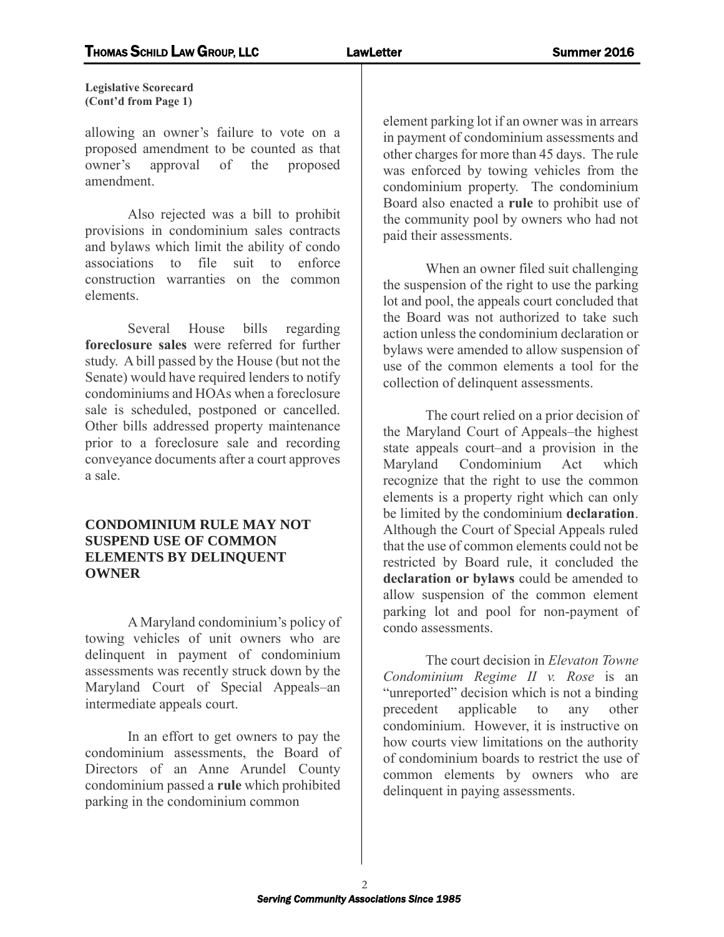**Legislative Scorecard (Cont'd from Page 1)**

allowing an owner's failure to vote on a proposed amendment to be counted as that owner's approval of the proposed amendment.

Also rejected was a bill to prohibit provisions in condominium sales contracts and bylaws which limit the ability of condo associations to file suit to enforce construction warranties on the common elements.

Several House bills regarding **foreclosure sales** were referred for further study. A bill passed by the House (but not the Senate) would have required lenders to notify condominiums and HOAs when a foreclosure sale is scheduled, postponed or cancelled. Other bills addressed property maintenance prior to a foreclosure sale and recording conveyance documents after a court approves a sale.

#### **CONDOMINIUM RULE MAY NOT SUSPEND USE OF COMMON ELEMENTS BY DELINQUENT OWNER**

A Maryland condominium's policy of towing vehicles of unit owners who are delinquent in payment of condominium assessments was recently struck down by the Maryland Court of Special Appeals–an intermediate appeals court.

In an effort to get owners to pay the condominium assessments, the Board of Directors of an Anne Arundel County condominium passed a **rule** which prohibited parking in the condominium common

element parking lot if an owner was in arrears in payment of condominium assessments and other charges for more than 45 days. The rule was enforced by towing vehicles from the condominium property. The condominium Board also enacted a **rule** to prohibit use of the community pool by owners who had not paid their assessments.

When an owner filed suit challenging the suspension of the right to use the parking lot and pool, the appeals court concluded that the Board was not authorized to take such action unless the condominium declaration or bylaws were amended to allow suspension of use of the common elements a tool for the collection of delinquent assessments.

The court relied on a prior decision of the Maryland Court of Appeals–the highest state appeals court–and a provision in the Maryland Condominium Act which recognize that the right to use the common elements is a property right which can only be limited by the condominium **declaration**. Although the Court of Special Appeals ruled that the use of common elements could not be restricted by Board rule, it concluded the **declaration or bylaws** could be amended to allow suspension of the common element parking lot and pool for non-payment of condo assessments.

The court decision in *Elevaton Towne Condominium Regime II v. Rose* is an "unreported" decision which is not a binding precedent applicable to any other condominium. However, it is instructive on how courts view limitations on the authority of condominium boards to restrict the use of common elements by owners who are delinquent in paying assessments.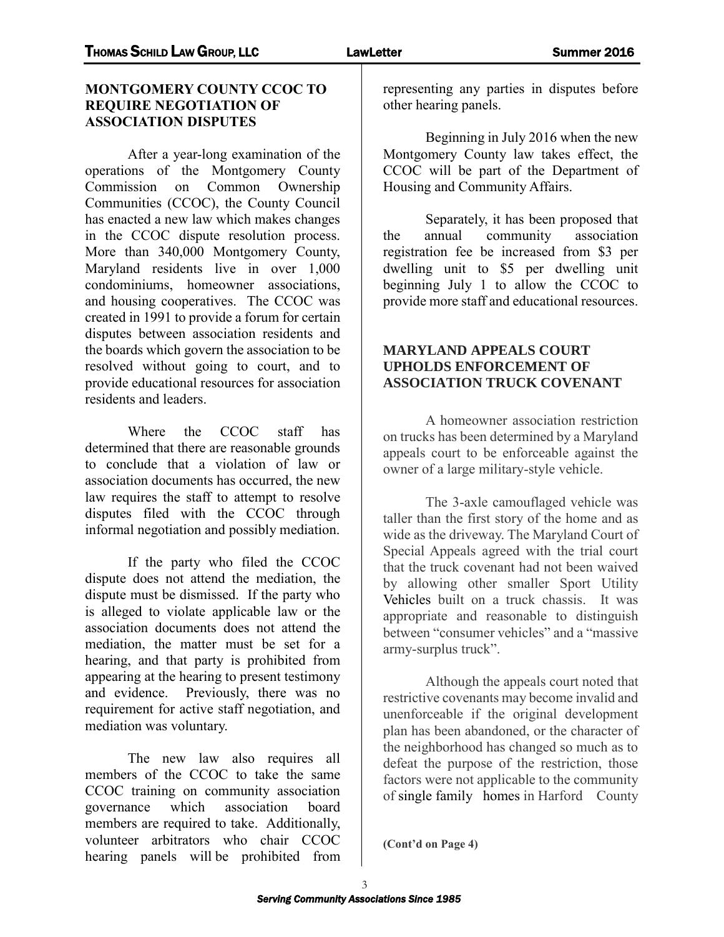#### **MONTGOMERY COUNTY CCOC TO REQUIRE NEGOTIATION OF ASSOCIATION DISPUTES**

After a year-long examination of the operations of the Montgomery County Commission on Common Ownership Communities (CCOC), the County Council has enacted a new law which makes changes in the CCOC dispute resolution process. More than 340,000 Montgomery County, Maryland residents live in over 1,000 condominiums, homeowner associations, and housing cooperatives. The CCOC was created in 1991 to provide a forum for certain disputes between association residents and the boards which govern the association to be resolved without going to court, and to provide educational resources for association residents and leaders.

Where the CCOC staff has determined that there are reasonable grounds to conclude that a violation of law or association documents has occurred, the new law requires the staff to attempt to resolve disputes filed with the CCOC through informal negotiation and possibly mediation.

If the party who filed the CCOC dispute does not attend the mediation, the dispute must be dismissed. If the party who is alleged to violate applicable law or the association documents does not attend the mediation, the matter must be set for a hearing, and that party is prohibited from appearing at the hearing to present testimony and evidence. Previously, there was no requirement for active staff negotiation, and mediation was voluntary.

The new law also requires all members of the CCOC to take the same CCOC training on community association governance which association board members are required to take. Additionally, volunteer arbitrators who chair CCOC hearing panels will be prohibited from representing any parties in disputes before other hearing panels.

Beginning in July 2016 when the new Montgomery County law takes effect, the CCOC will be part of the Department of Housing and Community Affairs.

Separately, it has been proposed that the annual community association registration fee be increased from \$3 per dwelling unit to \$5 per dwelling unit beginning July 1 to allow the CCOC to provide more staff and educational resources.

#### **MARYLAND APPEALS COURT UPHOLDS ENFORCEMENT OF ASSOCIATION TRUCK COVENANT**

A homeowner association restriction on trucks has been determined by a Maryland appeals court to be enforceable against the owner of a large military-style vehicle.

The 3-axle camouflaged vehicle was taller than the first story of the home and as wide as the driveway. The Maryland Court of Special Appeals agreed with the trial court that the truck covenant had not been waived by allowing other smaller Sport Utility [Vehicles](http://marylandcondominiumlaw.net/2016/05/27/maryland-appeals-court-upholds-enforcement-of-association-truck-covenant/) built on a truck chassis. It was appropriate and reasonable to distinguish between "consumer vehicles" and a "massive army-surplus truck".

Although the appeals court noted that restrictive covenants may become invalid and unenforceable if the original development plan has been abandoned, or the character of the neighborhood has changed so much as to defeat the purpose of the restriction, those factors were not applicable to the community of [single family homes](http://marylandcondominiumlaw.net/2016/05/27/maryland-appeals-court-upholds-enforcement-of-association-truck-covenant/) in Harford County

**(Cont'd on Page 4)**